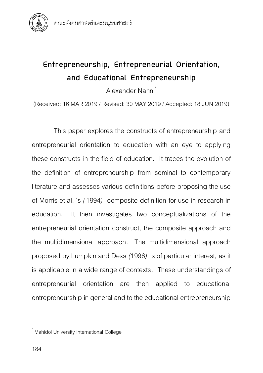

# **Entrepreneurship, Entrepreneurial Orientation, and Educational Entrepreneurship**

Alexander Nanni

(Received: 16 MAR 2019/ Revised: 30 MAY 2019/ Accepted: 18JUN 2019)

This paper explores the constructs of entrepreneurship and entrepreneurial orientation to education with an eye to applying these constructs in the field of education*.* It traces the evolution of the definition of entrepreneurship from seminal to contemporary literature and assesses various definitions before proposing the use of Morris et al*. '*s *(*1994*)* composite definition for use in research in education*.* It then investigates two conceptualizations of the entrepreneurial orientation construct, the composite approach and the multidimensional approach*.* The multidimensional approach proposed by Lumpkin and Dess *(*1996*)* is of particular interest, as it is applicable in a wide range of contexts*.* These understandings of entrepreneurial orientation are then applied to educational entrepreneurship in general and to the educational entrepreneurship

<sup>.&</sup>lt;br>Mahidol University International College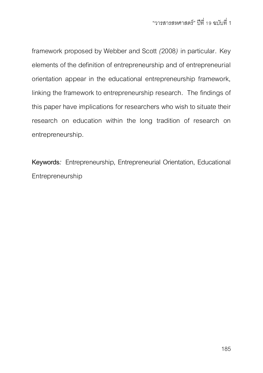framework proposed by Webber and Scott *(*2008*)* in particular*.* Key elements of the definition of entrepreneurship and of entrepreneurial orientation appear in the educational entrepreneurship framework, linking the framework to entrepreneurship research*.* The findings of this paper have implications for researchers who wish to situate their research on education within the long tradition of research on entrepreneurship*.* 

**Keywords***:* Entrepreneurship, Entrepreneurial Orientation, Educational Entrepreneurship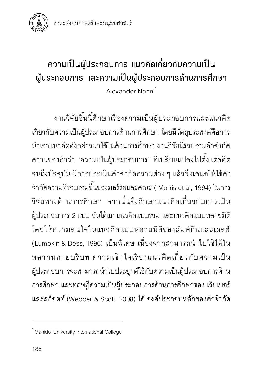

# **ความเ**ป็**นผู้ประกอบการ แนวคิดเกี่ยวกับความเ**ป็**น ผู้ประกอบการ และความเ**ป็**นผู้ประกอบการด้านการศึกษา** Alexander Nanni\*

งานวิจัยชิ ้นนี ้ศึกษาเรื่องความเป็ นผู้ ประกอบการและแนวคิด เกี่ยวกับความเป็นผู้ประกอบการด้านการศึกษา โดยมีวัตถุประสงค์คือการ นำเอาแนวคิดดังกล่าวมาใช้ในด้านการศึกษา งานวิจัยนี้รวบรวมคำจำกัด ความของคำว่า "ความเป็นผู้ประกอบการ" ที่เปลี่ยนแปลงไปตั้งแต่อดีต จนถึงปัจจุบัน มีการประเมินคำจำกัดความต่าง ๆ แล้วจึงเสนอให้ใช้คำ จำกัดความที่รวบรวมขึ้นของมอร์ริสและคณะ ( Morris et al, 1994) ในการ วิจัยทางด้านการศึกษา จากนั้นจึงศึกษาแนวคิดเกี่ยวกับการเป็น ผู้ประกอบการ 2 แบบ อันได้แก่ แนวคิดแบบรวม และแนวคิดแบบหลายมิติ โดยให้ ความสนใจในแนวคิดแบบหลายมิติของลัมพ์กินและเดสส์ (Lumpkin & Dess, 1996) เป็นพิเศษ เนื่องจากสามารถนำไปใช้ได้ใน หลากหลายบริบท ความเข้าใจเรื่องแนวคิดเกี่ยวกับความเป็น ผู้ประกอบการจะสามารถนำไปประยุกต์ใช้กับความเป็นผู้ประกอบการด้าน การศึกษา และทฤษฎีความเป็นผู้ประกอบการด้านการศึกษาของ เว็บเบอร์ และสก็อตต์ (Webber & Scott, 2008) ได้ องค์ประกอบหลักของคำจำกัด

<sup>.&</sup>lt;br>Mahidol University International College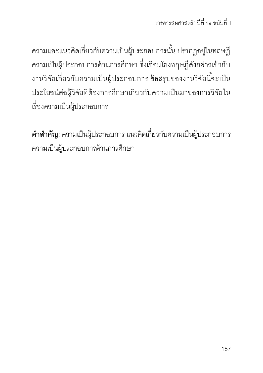้ความและแนวคิดเกี่ยวกับความเป็นผู้ประกอบการนั้น ปรากฏอยู่ในทฤษฎี ความเป็นผู้ประกอบการด้านการศึกษา ซึ่งเชื่อมโยงทฤษฏีดังกล่าวเข้ากับ งานวิจัยเกี่ยวกับความเป็นผู้ประกอบการ ข้อสรุปของงานวิจัยนี้จะเป็น ประโยชน์ต่อผู้วิจัยที่ต้องการศึกษาเกี่ยวกับความเป็นมาของการวิจัยใน เรื่องความเป็นผู้ประกอบการ

**ค ำส ำคัญ:** ความเป็นผู้ประกอบการ แนวคิดเกี่ยวกับความเป็นผู้ประกอบการ ความเป็นผู้ประกอบการด้านการศึกษา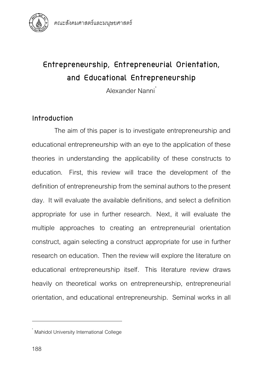

# **Entrepreneurship, Entrepreneurial Orientation, and Educational Entrepreneurship**

Alexander Nanni

# **Introduction**

The aim of this paper is to investigate entrepreneurship and educational entrepreneurship with an eye to the application of these theories in understanding the applicability of these constructs to education. First, this review will trace the development of the definition of entrepreneurship from the seminal authors to the present day. It will evaluate the available definitions, and select a definition appropriate for use in further research. Next, it will evaluate the multiple approaches to creating an entrepreneurial orientation construct, again selecting a construct appropriate for use in further research on education. Then the review will explore the literature on educational entrepreneurship itself. This literature review draws heavily on theoretical works on entrepreneurship, entrepreneurial orientation, and educational entrepreneurship. Seminal works in all

<sup>.&</sup>lt;br>Mahidol University International College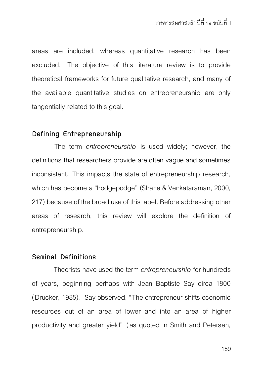areas are included, whereas quantitative research has been excluded. The objective of this literature review is to provide theoretical frameworks for future qualitative research, and many of the available quantitative studies on entrepreneurship are only tangentially related to this goal.

## **Defining Entrepreneurship**

The term *entrepreneurship* is used widely; however, the definitions that researchers provide are often vague and sometimes inconsistent. This impacts the state of entrepreneurship research, which has become a "hodgepodge" (Shane & Venkataraman, 2000, 217) because of the broad use of this label. Before addressing other areas of research, this review will explore the definition of entrepreneurship.

#### **Seminal Definitions**

Theorists have used the term *entrepreneurship* for hundreds of years, beginning perhaps with Jean Baptiste Say circa 1800 (Drucker, 1985). Say observed, "The entrepreneur shifts economic resources out of an area of lower and into an area of higher productivity and greater yield" (as quoted in Smith and Petersen,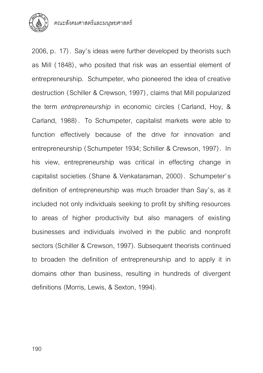

คณะสังคมศาสตร์และมนุษยศาสตร์

2006, p. 17). Say's ideas were further developed by theorists such as Mill (1848), who posited that risk was an essential element of entrepreneurship. Schumpeter, who pioneered the idea of creative destruction (Schiller & Crewson, 1997), claims that Mill popularized the term *entrepreneurship* in economic circles ( Carland, Hoy, & Carland, 1988) . To Schumpeter, capitalist markets were able to function effectively because of the drive for innovation and entrepreneurship (Schumpeter 1934; Schiller & Crewson, 1997). In his view, entrepreneurship was critical in effecting change in capitalist societies (Shane & Venkataraman, 2000). Schumpeter's definition of entrepreneurship was much broader than Say's, as it included not only individuals seeking to profit by shifting resources to areas of higher productivity but also managers of existing businesses and individuals involved in the public and nonprofit sectors (Schiller & Crewson, 1997). Subsequent theorists continued to broaden the definition of entrepreneurship and to apply it in domains other than business, resulting in hundreds of divergent definitions (Morris, Lewis, & Sexton, 1994).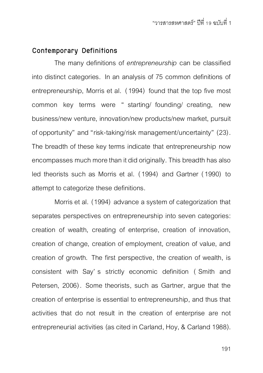## **Contemporary Definitions**

The many definitions of *entrepreneurship* can be classified into distinct categories. In an analysis of 75 common definitions of entrepreneurship, Morris et al. (1994) found that the top five most common key terms were " starting/ founding/ creating, new business/new venture, innovation/new products/new market, pursuit of opportunity" and "risk-taking/risk management/uncertainty" (23). The breadth of these key terms indicate that entrepreneurship now encompasses much more than it did originally. This breadth has also led theorists such as Morris et al. (1994) and Gartner (1990) to attempt to categorize these definitions.

Morris et al. (1994) advance a system of categorization that separates perspectives on entrepreneurship into seven categories: creation of wealth, creating of enterprise, creation of innovation, creation of change, creation of employment, creation of value, and creation of growth. The first perspective, the creation of wealth, is consistent with Say' s strictly economic definition ( Smith and Petersen, 2006). Some theorists, such as Gartner, argue that the creation of enterprise is essential to entrepreneurship, and thus that activities that do not result in the creation of enterprise are not entrepreneurial activities (as cited in Carland, Hoy, & Carland 1988).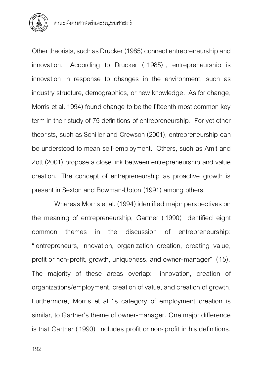

Other theorists, such as Drucker (1985) connect entrepreneurship and innovation. According to Drucker ( 1985) , entrepreneurship is innovation in response to changes in the environment, such as industry structure, demographics, or new knowledge. As for change, Morris et al. 1994) found change to be the fifteenth most common key term in their study of 75 definitions of entrepreneurship. For yet other theorists, such as Schiller and Crewson (2001), entrepreneurship can be understood to mean self-employment. Others, such as Amit and Zott (2001) propose a close link between entrepreneurship and value creation. The concept of entrepreneurship as proactive growth is present in Sexton and Bowman-Upton (1991) among others.

Whereas Morris et al. (1994) identified major perspectives on the meaning of entrepreneurship, Gartner (1990) identified eight common themes in the discussion of entrepreneurship: "entrepreneurs, innovation, organization creation, creating value, profit or non-profit, growth, uniqueness, and owner-manager" (15). The majority of these areas overlap: innovation, creation of organizations/employment, creation of value, and creation of growth. Furthermore, Morris et al. 's category of employment creation is similar, to Gartner's theme of owner-manager. One major difference is that Gartner (1990) includes profit or non-profit in his definitions.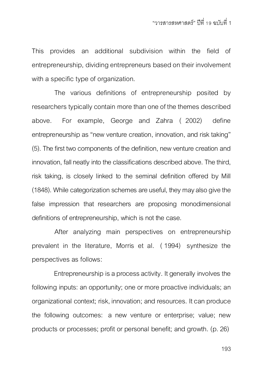This provides an additional subdivision within the field of entrepreneurship, dividing entrepreneurs based on their involvement with a specific type of organization.

The various definitions of entrepreneurship posited by researchers typically contain more than one of the themes described above. For example, George and Zahra ( 2002) define entrepreneurship as "new venture creation, innovation, and risk taking" (5). The first two components of the definition, new venture creation and innovation, fall neatly into the classifications described above. The third, risk taking, is closely linked to the seminal definition offered by Mill (1848). While categorization schemes are useful, they may also give the false impression that researchers are proposing monodimensional definitions of entrepreneurship, which is not the case.

After analyzing main perspectives on entrepreneurship prevalent in the literature, Morris et al. ( 1994) synthesize the perspectives as follows:

Entrepreneurship is a process activity. It generally involves the following inputs: an opportunity; one or more proactive individuals; an organizational context; risk, innovation; and resources. It can produce the following outcomes: a new venture or enterprise; value; new products or processes; profit or personal benefit; and growth. (p. 26)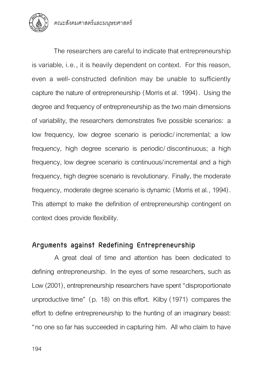

The researchers are careful to indicate that entrepreneurship is variable, i.e., it is heavily dependent on context. For this reason, even a well-constructed definition may be unable to sufficiently capture the nature of entrepreneurship (Morris et al. 1994). Using the degree and frequency of entrepreneurship as the two main dimensions of variability, the researchers demonstrates five possible scenarios: a low frequency, low degree scenario is periodic/ incremental; a low frequency, high degree scenario is periodic/ discontinuous; a high frequency, low degree scenario is continuous/incremental and a high frequency, high degree scenario is revolutionary. Finally, the moderate frequency, moderate degree scenario is dynamic (Morris et al., 1994). This attempt to make the definition of entrepreneurship contingent on context does provide flexibility.

# **Arguments against Redefining Entrepreneurship**

A great deal of time and attention has been dedicated to defining entrepreneurship. In the eyes of some researchers, such as Low (2001), entrepreneurship researchers have spent "disproportionate unproductive time" (p. 18) on this effort. Kilby (1971) compares the effort to define entrepreneurship to the hunting of an imaginary beast: "no one so far has succeeded in capturing him. All who claim to have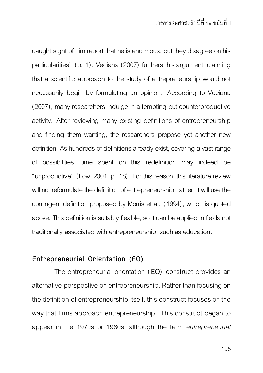caught sight of him report that he is enormous, but they disagree on his particularities" (p. 1). Veciana (2007) furthers this argument, claiming that a scientific approach to the study of entrepreneurship would not necessarily begin by formulating an opinion. According to Veciana (2007), many researchers indulge in a tempting but counterproductive activity. After reviewing many existing definitions of entrepreneurship and finding them wanting, the researchers propose yet another new definition. As hundreds of definitions already exist, covering a vast range of possibilities, time spent on this redefinition may indeed be "unproductive" (Low, 2001, p. 18). For this reason, this literature review will not reformulate the definition of entrepreneurship; rather, it will use the contingent definition proposed by Morris et al. (1994), which is quoted above. This definition is suitably flexible, so it can be applied in fields not traditionally associated with entrepreneurship, such as education.

# **Entrepreneurial Orientation (EO)**

The entrepreneurial orientation (EO) construct provides an alternative perspective on entrepreneurship. Rather than focusing on the definition of entrepreneurship itself, this construct focuses on the way that firms approach entrepreneurship. This construct began to appear in the 1970s or 1980s, although the term *entrepreneurial*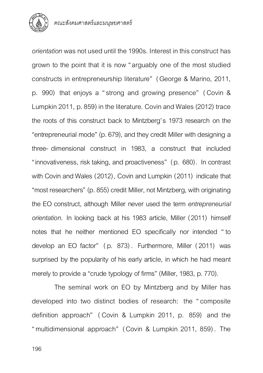

*orientation* was not used until the 1990s. Interest in this construct has grown to the point that it is now "arguably one of the most studied constructs in entrepreneurship literature" (George & Marino, 2011, p. 990) that enjoys a "strong and growing presence" ( Covin & Lumpkin 2011, p. 859) in the literature. Covin and Wales (2012) trace the roots of this construct back to Mintzberg's 1973 research on the "entrepreneurial mode" (p. 679), and they credit Miller with designing a three- dimensional construct in 1983, a construct that included "innovativeness, risk taking, and proactiveness" (p. 680). In contrast with Covin and Wales (2012), Covin and Lumpkin (2011) indicate that "most researchers" (p. 855) credit Miller, not Mintzberg, with originating the EO construct, although Miller never used the term *entrepreneurial orientation*. In looking back at his 1983 article, Miller (2011) himself notes that he neither mentioned EO specifically nor intended " to develop an EO factor" ( p. 873) . Furthermore, Miller (2011) was surprised by the popularity of his early article, in which he had meant merely to provide a "crude typology of firms" (Miller, 1983, p. 770).

The seminal work on EO by Mintzberg and by Miller has developed into two distinct bodies of research: the "composite definition approach" ( Covin & Lumpkin 2011, p. 859) and the "multidimensional approach" (Covin & Lumpkin 2011, 859) . The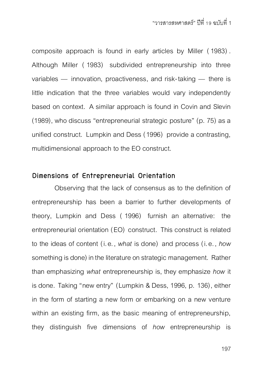composite approach is found in early articles by Miller (1983) . Although Miller ( 1983) subdivided entrepreneurship into three variables — innovation, proactiveness, and risk-taking — there is little indication that the three variables would vary independently based on context. A similar approach is found in Covin and Slevin (1989), who discuss "entrepreneurial strategic posture" (p. 75) as a unified construct. Lumpkin and Dess (1996) provide a contrasting, multidimensional approach to the EO construct.

#### **Dimensions of Entrepreneurial Orientation**

Observing that the lack of consensus as to the definition of entrepreneurship has been a barrier to further developments of theory, Lumpkin and Dess ( 1996) furnish an alternative: the entrepreneurial orientation (EO) construct. This construct is related to the ideas of content (i.e., *what* is done) and process (i.e., *how*  something is done) in the literature on strategic management. Rather than emphasizing *what* entrepreneurship is, they emphasize *how* it is done. Taking "new entry" (Lumpkin & Dess, 1996, p. 136), either in the form of starting a new form or embarking on a new venture within an existing firm, as the basic meaning of entrepreneurship. they distinguish five dimensions of *how* entrepreneurship is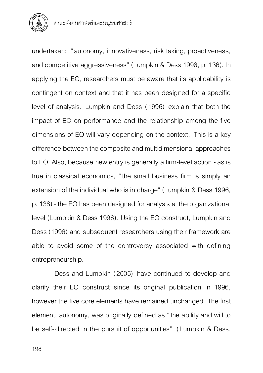

undertaken: "autonomy, innovativeness, risk taking, proactiveness, and competitive aggressiveness" (Lumpkin & Dess 1996, p. 136). In applying the EO, researchers must be aware that its applicability is contingent on context and that it has been designed for a specific level of analysis. Lumpkin and Dess (1996) explain that both the impact of EO on performance and the relationship among the five dimensions of EO will vary depending on the context. This is a key difference between the composite and multidimensional approaches to EO. Also, because new entry is generally a firm-level action -as is true in classical economics, "the small business firm is simply an extension of the individual who is in charge" (Lumpkin & Dess 1996, p. 138) - the EO has been designed for analysis at the organizational level (Lumpkin & Dess 1996). Using the EO construct, Lumpkin and Dess (1996) and subsequent researchers using their framework are able to avoid some of the controversy associated with defining entrepreneurship.

Dess and Lumpkin (2005) have continued to develop and clarify their EO construct since its original publication in 1996, however the five core elements have remained unchanged. The first element, autonomy, was originally defined as "the ability and will to be self-directed in the pursuit of opportunities" (Lumpkin & Dess,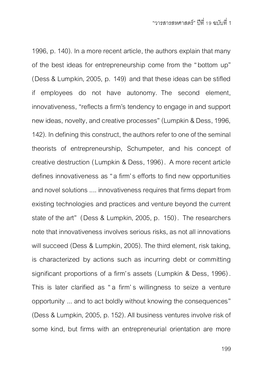1996, p. 140). In a more recent article, the authors explain that many of the best ideas for entrepreneurship come from the "bottom up" (Dess & Lumpkin, 2005, p. 149) and that these ideas can be stifled if employees do not have autonomy. The second element, innovativeness, "reflects a firm's tendency to engage in and support new ideas, novelty, and creative processes" (Lumpkin & Dess, 1996, 142). In defining this construct, the authors refer to one of the seminal theorists of entrepreneurship, Schumpeter, and his concept of creative destruction (Lumpkin & Dess, 1996). A more recent article defines innovativeness as "a firm's efforts to find new opportunities and novel solutions .... innovativeness requires that firms depart from existing technologies and practices and venture beyond the current state of the art" (Dess & Lumpkin, 2005, p. 150). The researchers note that innovativeness involves serious risks, as not all innovations will succeed (Dess & Lumpkin, 2005). The third element, risk taking, is characterized by actions such as incurring debt or committing significant proportions of a firm's assets (Lumpkin & Dess, 1996) . This is later clarified as "a firm's willingness to seize a venture opportunity ... and to act boldly without knowing the consequences" (Dess & Lumpkin, 2005, p. 152). All business ventures involve risk of some kind, but firms with an entrepreneurial orientation are more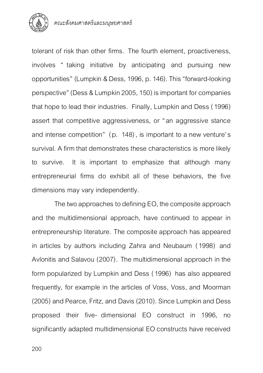

tolerant of risk than other firms. The fourth element, proactiveness, involves " taking initiative by anticipating and pursuing new opportunities" (Lumpkin & Dess, 1996, p. 146). This "forward-looking perspective" (Dess & Lumpkin 2005, 150) is important for companies that hope to lead their industries. Finally, Lumpkin and Dess (1996) assert that competitive aggressiveness, or "an aggressive stance and intense competition" (p. 148), is important to a new venture's survival. A firm that demonstrates these characteristics is more likely to survive. It is important to emphasize that although many entrepreneurial firms do exhibit all of these behaviors, the five dimensions may vary independently.

The two approaches to defining EO, the composite approach and the multidimensional approach, have continued to appear in entrepreneurship literature. The composite approach has appeared in articles by authors including Zahra and Neubaum (1998) and Avlonitis and Salavou (2007). The multidimensional approach in the form popularized by Lumpkin and Dess (1996) has also appeared frequently, for example in the articles of Voss, Voss, and Moorman (2005) and Pearce, Fritz, and Davis (2010). Since Lumpkin and Dess proposed their five- dimensional EO construct in 1996, no significantly adapted multidimensional EO constructs have received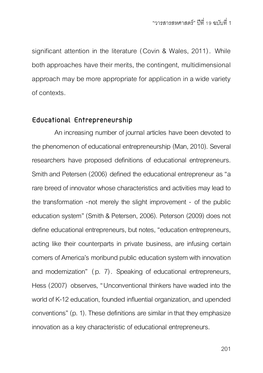significant attention in the literature (Covin & Wales, 2011). While both approaches have their merits, the contingent, multidimensional approach may be more appropriate for application in a wide variety of contexts.

## **Educational Entrepreneurship**

An increasing number of journal articles have been devoted to the phenomenon of educational entrepreneurship (Man, 2010). Several researchers have proposed definitions of educational entrepreneurs. Smith and Petersen (2006) defined the educational entrepreneur as "a rare breed of innovator whose characteristics and activities may lead to the transformation -not merely the slight improvement - of the public education system" (Smith & Petersen, 2006). Peterson (2009) does not define educational entrepreneurs, but notes, "education entrepreneurs, acting like their counterparts in private business, are infusing certain corners of America's moribund public education system with innovation and modernization" (p. 7). Speaking of educational entrepreneurs, Hess (2007) observes, "Unconventional thinkers have waded into the world of K-12 education, founded influential organization, and upended conventions" (p. 1). These definitions are similar in that they emphasize innovation as a key characteristic of educational entrepreneurs.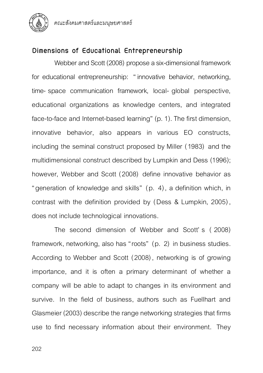

คณะสังคมศาสตร์และมนุษยศาสตร์

# **Dimensions of Educational Entrepreneurship**

Webber and Scott (2008) propose a six-dimensional framework for educational entrepreneurship: " innovative behavior, networking, time- space communication framework, local- global perspective, educational organizations as knowledge centers, and integrated face-to-face and Internet-based learning" (p. 1). The first dimension, innovative behavior, also appears in various EO constructs, including the seminal construct proposed by Miller (1983) and the multidimensional construct described by Lumpkin and Dess (1996); however, Webber and Scott (2008) define innovative behavior as "generation of knowledge and skills" (p. 4), a definition which, in contrast with the definition provided by (Dess & Lumpkin, 2005), does not include technological innovations.

The second dimension of Webber and Scott' s ( 2008) framework, networking, also has "roots" (p. 2) in business studies. According to Webber and Scott (2008), networking is of growing importance, and it is often a primary determinant of whether a company will be able to adapt to changes in its environment and survive. In the field of business, authors such as Fuellhart and Glasmeier (2003) describe the range networking strategies that firms use to find necessary information about their environment. They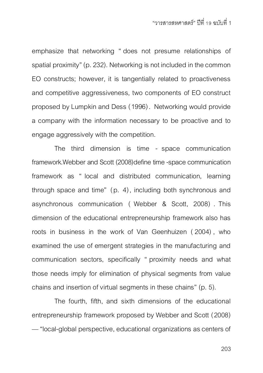emphasize that networking " does not presume relationships of spatial proximity" (p. 232). Networking is not included in the common EO constructs; however, it is tangentially related to proactiveness and competitive aggressiveness, two components of EO construct proposed by Lumpkin and Dess (1996). Networking would provide a company with the information necessary to be proactive and to engage aggressively with the competition.

The third dimension is time - space communication framework.Webber and Scott (2008)define time-space communication framework as " local and distributed communication, learning through space and time" (p. 4), including both synchronous and asynchronous communication ( Webber & Scott, 2008) . This dimension of the educational entrepreneurship framework also has roots in business in the work of Van Geenhuizen (2004) , who examined the use of emergent strategies in the manufacturing and communication sectors, specifically " proximity needs and what those needs imply for elimination of physical segments from value chains and insertion of virtual segments in these chains" (p. 5).

The fourth, fifth, and sixth dimensions of the educational entrepreneurship framework proposed by Webber and Scott (2008) —"local-global perspective, educational organizations as centers of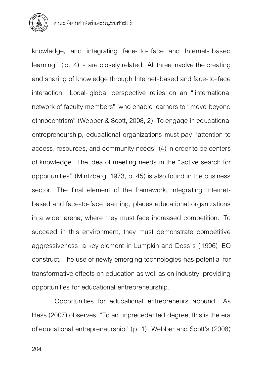

คณะสังคมศาสตร์และมนุษยศาสตร์

knowledge, and integrating face- to- face and Internet- based learning" (p. 4) - are closely related. All three involve the creating and sharing of knowledge through Internet-based and face-to-face interaction. Local- global perspective relies on an " international network of faculty members" who enable learners to "move beyond ethnocentrism" (Webber & Scott, 2008, 2). To engage in educational entrepreneurship, educational organizations must pay "attention to access, resources, and community needs" (4) in order to be centers of knowledge. The idea of meeting needs in the "active search for opportunities" (Mintzberg, 1973, p. 45) is also found in the business sector. The final element of the framework, integrating Internetbased and face-to-face learning, places educational organizations in a wider arena, where they must face increased competition. To succeed in this environment, they must demonstrate competitive aggressiveness, a key element in Lumpkin and Dess's (1996) EO construct. The use of newly emerging technologies has potential for transformative effects on education as well as on industry, providing opportunities for educational entrepreneurship.

Opportunities for educational entrepreneurs abound. As Hess (2007) observes, "To an unprecedented degree, this is the era of educational entrepreneurship" (p. 1). Webber and Scott's (2008)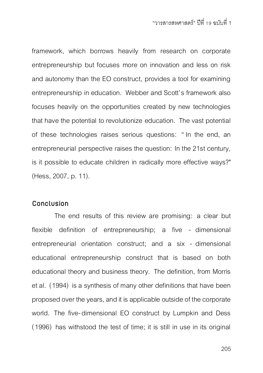framework, which borrows heavily from research on corporate entrepreneurship but focuses more on innovation and less on risk and autonomy than the EO construct, provides a tool for examining entrepreneurship in education. Webber and Scott's framework also focuses heavily on the opportunities created by new technologies that have the potential to revolutionize education. The vast potential of these technologies raises serious questions: " In the end, an entrepreneurial perspective raises the question: In the 21st century, is it possible to educate children in radically more effective ways?" (Hess, 2007, p. 11).

#### **Conclusion**

The end results of this review are promising: a clear but flexible definition of entrepreneurship; a five - dimensional entrepreneurial orientation construct; and a six - dimensional educational entrepreneurship construct that is based on both educational theory and business theory. The definition, from Morris et al. (1994) is a synthesis of many other definitions that have been proposed over the years, and it is applicable outside of the corporate world. The five- dimensional EO construct by Lumpkin and Dess (1996) has withstood the test of time; it is still in use in its original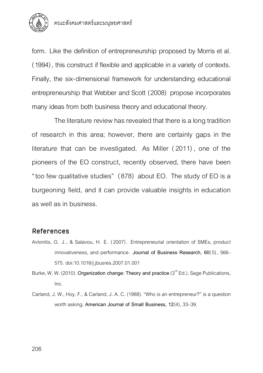

form. Like the definition of entrepreneurship proposed by Morris et al. (1994), this construct if flexible and applicable in a variety of contexts. Finally, the six-dimensional framework for understanding educational entrepreneurship that Webber and Scott (2008) propose incorporates many ideas from both business theory and educational theory.

The literature review has revealed that there is a long tradition of research in this area; however, there are certainly gaps in the literature that can be investigated. As Miller (2011) , one of the pioneers of the EO construct, recently observed, there have been "too few qualitative studies" (878) about EO. The study of EO is a burgeoning field, and it can provide valuable insights in education as well as in business.

## **References**

Avlonitis, G. J., & Salavou, H. E. (2007) . Entrepreneurial orientation of SMEs, product innovativeness, and performance. **Journal of Business Research, 60**(5), 566– 575. doi:10.1016/j.jbusres.2007.01.001

Burke, W. W. (2010). <mark>Organization change*:* Theory and practice</mark> (3<sup>rd</sup> Ed.). Sage Publications, Inc.

Carland, J. W., Hoy, F., & Carland, J. A. C. (1988). "Who is an entrepreneur?" is a question worth asking. **American Journal of Small Business, 12**(4), 33–39.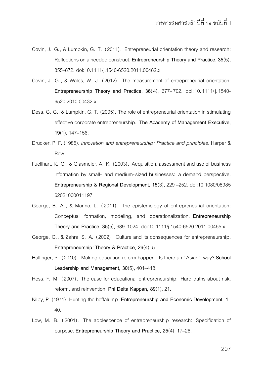- Covin, J. G., & Lumpkin, G. T. (2011) . Entrepreneurial orientation theory and research: Reflections on a needed construct. **Entrepreneurship Theory and Practice, 35**(5), 855–872. doi:10.1111/j.1540-6520.2011.00482.x
- Covin, J. G. , & Wales, W. J. (2012) . The measurement of entrepreneurial orientation. **Entrepreneurship Theory and Practice, 36(4), 677–702. doi: 10. 1111/j. 1540-**6520.2010.00432.x
- Dess, G. G., & Lumpkin, G. T. (2005). The role of entrepreneurial orientation in stimulating effective corporate entrepreneurship. **The Academy of Management Executive, 19**(1), 147–156.
- Drucker, P. F. (1985). *Innovation and entrepreneurship: Practice and principles*. Harper & Row.
- Fuellhart, K. G., & Glasmeier, A. K. (2003). Acquisition, assessment and use of business information by small- and medium-sized businesses: a demand perspective. **Entrepreneurship & Regional Development, 15**(3), 229 –252. doi:10.1080/08985 62021000011197
- George, B. A. , & Marino, L. (2011) . The epistemology of entrepreneurial orientation: Conceptual formation, modeling, and operationalization. **Entrepreneurship Theory and Practice, 35**(5), 989–1024. doi:10.1111/j.1540-6520.2011.00455.x
- George, G., & Zahra, S. A. (2002) . Culture and its consequences for entrepreneurship. **Entrepreneurship***:* **Theory & Practice, 26**(4), 5.
- Hallinger, P. (2010) . Making education reform happen: Is there an "Asian" way? **School Leadership and Management, 30**(5), 401–418.
- Hess, F. M. (2007). The case for educational entrepreneurship: Hard truths about risk, reform, and reinvention. **Phi Delta Kappan, 89**(1), 21.
- Kilby, P. (1971). Hunting the heffalump. **Entrepreneurship and Economic Development,** 1– 40.
- Low, M. B. (2001) . The adolescence of entrepreneurship research: Specification of purpose. **Entrepreneurship Theory and Practice, 25**(4), 17–26.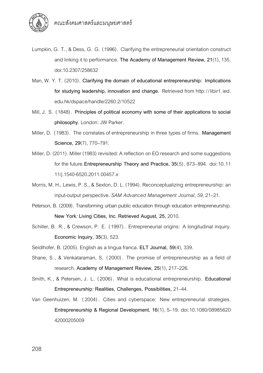

- Lumpkin, G. T., & Dess, G. G. (1996). Clarifying the entrepreneurial orientation construct and linking it to performance. **The Academy of Management Review, 21**(1), 135. doi:10.2307/258632
- Man, W. Y. T. (2010). **Clarifying the domain of educational entrepreneurship: Implications for studying leadership, innovation and change.** Retrieved from http://libir1.ied. edu.hk/dspace/handle/2260.2/10522
- Mill, J. S. (1848). **Principles of political economy with some of their applications to social philosophy***.* London: JW Parker.
- Miller, D. (1983). The correlates of entrepreneurship in three types of firms. **Management Science, 29**(7), 770–791.
- Miller, D. (2011). Miller (1983) revisited: A reflection on EO research and some suggestions for the future.**Entrepreneurship Theory and Practice, 35**(5), 873–894. doi:10.11 11/j.1540-6520.2011.00457.x
- Morris, M. H., Lewis, P. S., & Sexton, D. L. (1994). Reconceptualizing entrepreneurship: an input-output perspective. *SAM Advanced Management Journal*, *59*, 21–21.
- Peterson, B. (2009). Transforming urban public education through education entrepreneurship. **New York***:* **Living Cities, Inc***.* **Retrieved August, 25**, 2010.
- Schiller, B. R., & Crewson, P. E. (1997) . Entrepreneurial origins: A longitudinal inquiry. **Economic Inquiry, 35**(3), 523.
- Seidlhofer, B. (2005). English as a lingua franca. **ELT Journal, 59**(4), 339.
- Shane, S. , & Venkataraman, S. (2000) . The promise of entrepreneurship as a field of research. **Academy of Management Review, 25**(1), 217–226.
- Smith, K., & Petersen, J. L. (2006) . What is educational entrepreneurship. **Educational Entrepreneurship***:* **Realities, Challenges, Possibilities,** 21–44.
- Van Geenhuizen, M. (2004) . Cities and cyberspace: New entrepreneurial strategies. **Entrepreneurship & Regional Development, 16**(1), 5–19. doi:10.1080/08985620 42000205009